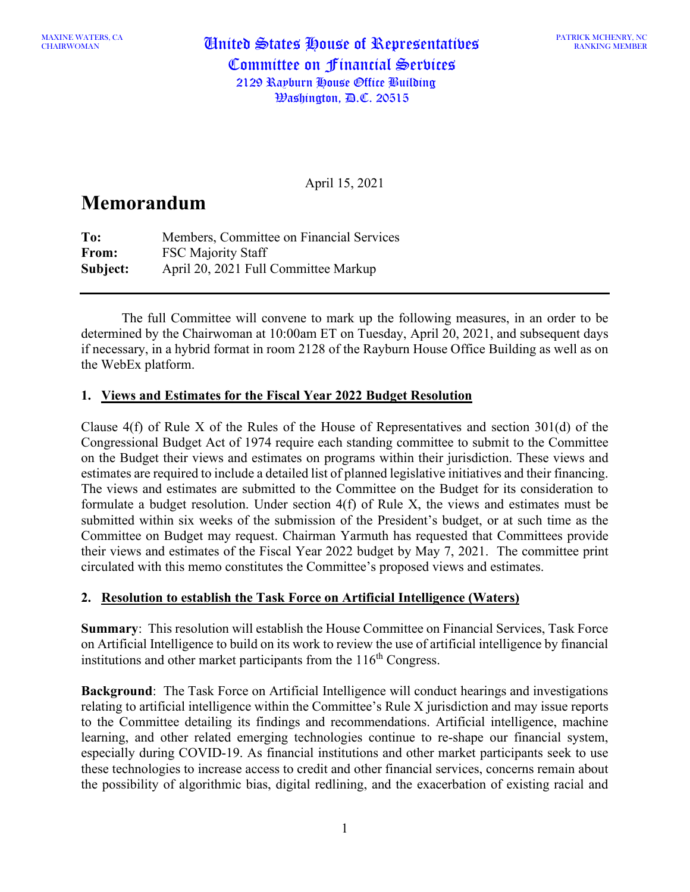CHAIRWOMAN United States House of Representatives Committee on Financial Services 2129 Rayburn House Office Building  $\mathcal{B}$ ashington,  $\mathcal{B}$ .C. 20515

April 15, 2021

# **Memorandum**

**To:** Members, Committee on Financial Services **From:** FSC Majority Staff **Subject:** April 20, 2021 Full Committee Markup

The full Committee will convene to mark up the following measures, in an order to be determined by the Chairwoman at 10:00am ET on Tuesday, April 20, 2021, and subsequent days if necessary, in a hybrid format in room 2128 of the Rayburn House Office Building as well as on the WebEx platform.

# **1. Views and Estimates for the Fiscal Year 2022 Budget Resolution**

Clause 4(f) of Rule X of the Rules of the House of Representatives and section 301(d) of the Congressional Budget Act of 1974 require each standing committee to submit to the Committee on the Budget their views and estimates on programs within their jurisdiction. These views and estimates are required to include a detailed list of planned legislative initiatives and their financing. The views and estimates are submitted to the Committee on the Budget for its consideration to formulate a budget resolution. Under section 4(f) of Rule X, the views and estimates must be submitted within six weeks of the submission of the President's budget, or at such time as the Committee on Budget may request. Chairman Yarmuth has requested that Committees provide their views and estimates of the Fiscal Year 2022 budget by May 7, 2021. The committee print circulated with this memo constitutes the Committee's proposed views and estimates.

#### **2. Resolution to establish the Task Force on Artificial Intelligence (Waters)**

**Summary**: This resolution will establish the House Committee on Financial Services, Task Force on Artificial Intelligence to build on its work to review the use of artificial intelligence by financial institutions and other market participants from the  $116<sup>th</sup>$  Congress.

**Background**: The Task Force on Artificial Intelligence will conduct hearings and investigations relating to artificial intelligence within the Committee's Rule X jurisdiction and may issue reports to the Committee detailing its findings and recommendations. Artificial intelligence, machine learning, and other related emerging technologies continue to re-shape our financial system, especially during COVID-19. As financial institutions and other market participants seek to use these technologies to increase access to credit and other financial services, concerns remain about the possibility of algorithmic bias, digital redlining, and the exacerbation of existing racial and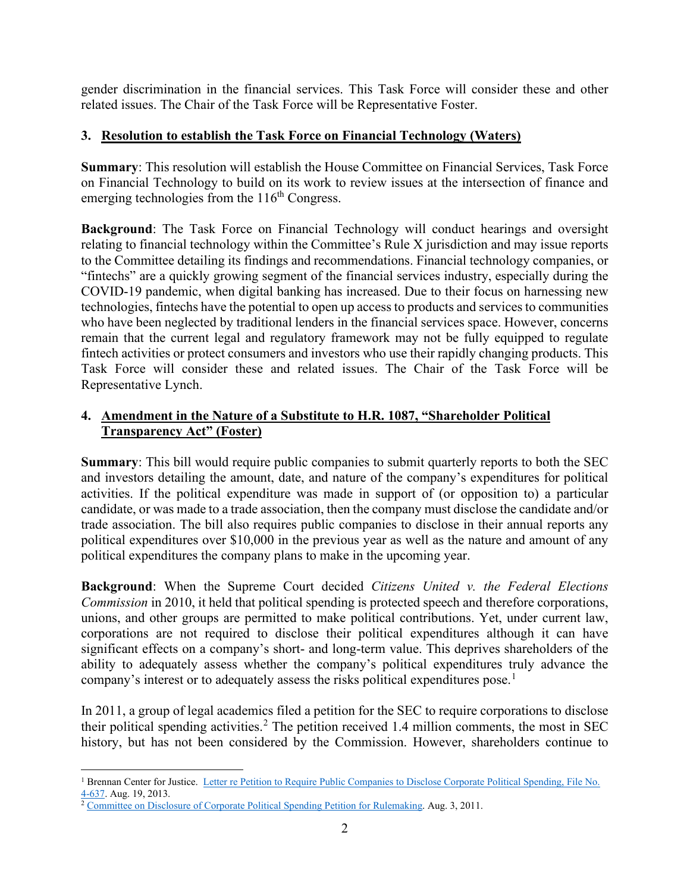gender discrimination in the financial services. This Task Force will consider these and other related issues. The Chair of the Task Force will be Representative Foster.

# **3. Resolution to establish the Task Force on Financial Technology (Waters)**

**Summary**: This resolution will establish the House Committee on Financial Services, Task Force on Financial Technology to build on its work to review issues at the intersection of finance and emerging technologies from the  $116<sup>th</sup> Congress$ .

**Background**: The Task Force on Financial Technology will conduct hearings and oversight relating to financial technology within the Committee's Rule X jurisdiction and may issue reports to the Committee detailing its findings and recommendations. Financial technology companies, or "fintechs" are a quickly growing segment of the financial services industry, especially during the COVID-19 pandemic, when digital banking has increased. Due to their focus on harnessing new technologies, fintechs have the potential to open up access to products and services to communities who have been neglected by traditional lenders in the financial services space. However, concerns remain that the current legal and regulatory framework may not be fully equipped to regulate fintech activities or protect consumers and investors who use their rapidly changing products. This Task Force will consider these and related issues. The Chair of the Task Force will be Representative Lynch.

# **4. Amendment in the Nature of a Substitute to H.R. 1087, "Shareholder Political Transparency Act" (Foster)**

**Summary**: This bill would require public companies to submit quarterly reports to both the SEC and investors detailing the amount, date, and nature of the company's expenditures for political activities. If the political expenditure was made in support of (or opposition to) a particular candidate, or was made to a trade association, then the company must disclose the candidate and/or trade association. The bill also requires public companies to disclose in their annual reports any political expenditures over \$10,000 in the previous year as well as the nature and amount of any political expenditures the company plans to make in the upcoming year.

**Background**: When the Supreme Court decided *Citizens United v. the Federal Elections Commission* in 2010, it held that political spending is protected speech and therefore corporations, unions, and other groups are permitted to make political contributions. Yet, under current law, corporations are not required to disclose their political expenditures although it can have significant effects on a company's short- and long-term value. This deprives shareholders of the ability to adequately assess whether the company's political expenditures truly advance the company's interest or to adequately assess the risks political expenditures pose.<sup>[1](#page-1-0)</sup>

In 2011, a group of legal academics filed a petition for the SEC to require corporations to disclose their political spending activities.<sup>[2](#page-1-1)</sup> The petition received 1.4 million comments, the most in SEC history, but has not been considered by the Commission. However, shareholders continue to

<span id="page-1-0"></span><sup>&</sup>lt;sup>1</sup> Brennan Center for Justice. Letter re Petition to Require Public Companies to Disclose Corporate Political Spending, File No. [4-637.](https://www.scribd.com/document/161376997/Letter-to-SEC-on-Corporate-Political-Spending-Disclosure-Requirement) Aug. 19, 2013.

<span id="page-1-1"></span><sup>&</sup>lt;sup>2</sup> [Committee on Disclosure of Corporate Political Spending Petition for Rulemaking.](https://www.sec.gov/rules/petitions/2011/petn4-637.pdf) Aug. 3, 2011.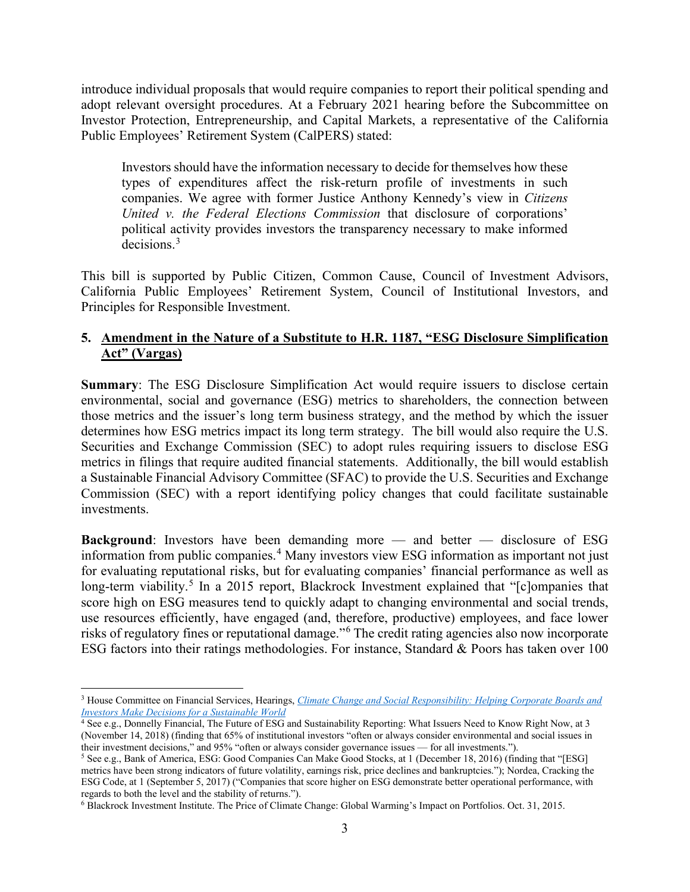introduce individual proposals that would require companies to report their political spending and adopt relevant oversight procedures. At a February 2021 hearing before the Subcommittee on Investor Protection, Entrepreneurship, and Capital Markets, a representative of the California Public Employees' Retirement System (CalPERS) stated:

Investors should have the information necessary to decide for themselves how these types of expenditures affect the risk-return profile of investments in such companies. We agree with former Justice Anthony Kennedy's view in *Citizens United v. the Federal Elections Commission* that disclosure of corporations' political activity provides investors the transparency necessary to make informed decisions. [3](#page-2-0)

This bill is supported by Public Citizen, Common Cause, Council of Investment Advisors, California Public Employees' Retirement System, Council of Institutional Investors, and Principles for Responsible Investment.

# **5. Amendment in the Nature of a Substitute to H.R. 1187, "ESG Disclosure Simplification Act" (Vargas)**

**Summary**: The ESG Disclosure Simplification Act would require issuers to disclose certain environmental, social and governance (ESG) metrics to shareholders, the connection between those metrics and the issuer's long term business strategy, and the method by which the issuer determines how ESG metrics impact its long term strategy. The bill would also require the U.S. Securities and Exchange Commission (SEC) to adopt rules requiring issuers to disclose ESG metrics in filings that require audited financial statements. Additionally, the bill would establish a Sustainable Financial Advisory Committee (SFAC) to provide the U.S. Securities and Exchange Commission (SEC) with a report identifying policy changes that could facilitate sustainable investments.

**Background:** Investors have been demanding more — and better — disclosure of ESG information from public companies.<sup>[4](#page-2-1)</sup> Many investors view ESG information as important not just for evaluating reputational risks, but for evaluating companies' financial performance as well as long-term viability.<sup>[5](#page-2-2)</sup> In a 2015 report, Blackrock Investment explained that " $[c]$ ompanies that score high on ESG measures tend to quickly adapt to changing environmental and social trends, use resources efficiently, have engaged (and, therefore, productive) employees, and face lower risks of regulatory fines or reputational damage."[6](#page-2-3) The credit rating agencies also now incorporate ESG factors into their ratings methodologies. For instance, Standard & Poors has taken over 100

<span id="page-2-0"></span><sup>3</sup> House Committee on Financial Services, Hearings, *[Climate Change and Social Responsibility: Helping Corporate Boards and](https://financialservices.house.gov/calendar/eventsingle.aspx?EventID=407109)  [Investors Make Decisions for a Sustainable World](https://financialservices.house.gov/calendar/eventsingle.aspx?EventID=407109)*

<span id="page-2-1"></span><sup>4</sup> See e.g., Donnelly Financial, The Future of ESG and Sustainability Reporting: What Issuers Need to Know Right Now, at 3 (November 14, 2018) (finding that 65% of institutional investors "often or always consider environmental and social issues in their investment decisions," and 95% "often or always consider governance issues — for all investments.").

<span id="page-2-2"></span><sup>5</sup> See e.g., Bank of America, ESG: Good Companies Can Make Good Stocks, at 1 (December 18, 2016) (finding that "[ESG] metrics have been strong indicators of future volatility, earnings risk, price declines and bankruptcies."); Nordea, Cracking the ESG Code, at 1 (September 5, 2017) ("Companies that score higher on ESG demonstrate better operational performance, with regards to both the level and the stability of returns.").

<span id="page-2-3"></span><sup>6</sup> Blackrock Investment Institute. The Price of Climate Change: Global Warming's Impact on Portfolios. Oct. 31, 2015.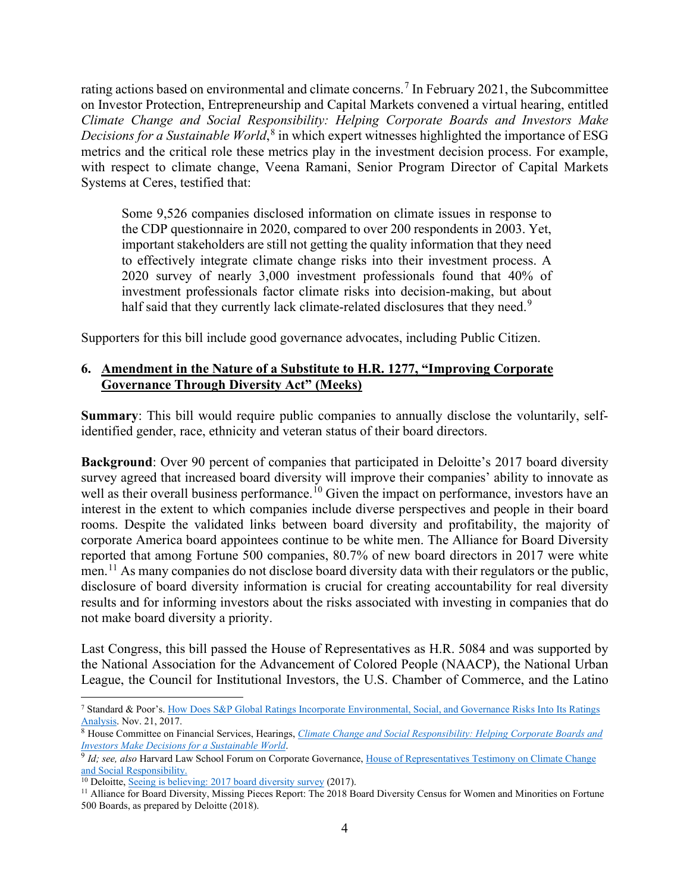rating actions based on environmental and climate concerns.<sup>[7](#page-3-0)</sup> In February 2021, the Subcommittee on Investor Protection, Entrepreneurship and Capital Markets convened a virtual hearing, entitled *Climate Change and Social Responsibility: Helping Corporate Boards and Investors Make Decisions for a Sustainable World*, [8](#page-3-1) in which expert witnesses highlighted the importance of ESG metrics and the critical role these metrics play in the investment decision process. For example, with respect to climate change, Veena Ramani, Senior Program Director of Capital Markets Systems at Ceres, testified that:

Some 9,526 companies disclosed information on climate issues in response to the CDP questionnaire in 2020, compared to over 200 respondents in 2003. Yet, important stakeholders are still not getting the quality information that they need to effectively integrate climate change risks into their investment process. A 2020 survey of nearly 3,000 investment professionals found that 40% of investment professionals factor climate risks into decision-making, but about half said that they currently lack climate-related disclosures that they need.<sup>[9](#page-3-2)</sup>

Supporters for this bill include good governance advocates, including Public Citizen.

# **6. Amendment in the Nature of a Substitute to H.R. 1277, "Improving Corporate Governance Through Diversity Act" (Meeks)**

**Summary**: This bill would require public companies to annually disclose the voluntarily, selfidentified gender, race, ethnicity and veteran status of their board directors.

**Background**: Over 90 percent of companies that participated in Deloitte's 2017 board diversity survey agreed that increased board diversity will improve their companies' ability to innovate as well as their overall business performance.<sup>[10](#page-3-3)</sup> Given the impact on performance, investors have an interest in the extent to which companies include diverse perspectives and people in their board rooms. Despite the validated links between board diversity and profitability, the majority of corporate America board appointees continue to be white men. The Alliance for Board Diversity reported that among Fortune 500 companies, 80.7% of new board directors in 2017 were white men.<sup>[11](#page-3-4)</sup> As many companies do not disclose board diversity data with their regulators or the public, disclosure of board diversity information is crucial for creating accountability for real diversity results and for informing investors about the risks associated with investing in companies that do not make board diversity a priority.

Last Congress, this bill passed the House of Representatives as H.R. 5084 and was supported by the National Association for the Advancement of Colored People (NAACP), the National Urban League, the Council for Institutional Investors, the U.S. Chamber of Commerce, and the Latino

<span id="page-3-0"></span><sup>7</sup> Standard & Poor's[. How Does S&P Global Ratings Incorporate Environmental, Social, and Governance Risks Into Its Ratings](https://www.spglobal.com/ratings/en/research/pdf-articles/171121-how-does-sp-global-ratings-incorporate-environmental-social-and-governance-risks-into-its-ratings-analysis)  [Analysis.](https://www.spglobal.com/ratings/en/research/pdf-articles/171121-how-does-sp-global-ratings-incorporate-environmental-social-and-governance-risks-into-its-ratings-analysis) Nov. 21, 2017.

<span id="page-3-1"></span><sup>8</sup> House Committee on Financial Services, Hearings, *[Climate Change and Social Responsibility: Helping Corporate Boards and](https://financialservices.house.gov/calendar/eventsingle.aspx?EventID=407109)  [Investors Make Decisions for a Sustainable World](https://financialservices.house.gov/calendar/eventsingle.aspx?EventID=407109)*.

<span id="page-3-2"></span><sup>9</sup> *Id; see, also* Harvard Law School Forum on Corporate Governance[, House of Representatives Testimony on Climate Change](https://corpgov.law.harvard.edu/2021/03/09/house-of-representatives-testimony-on-climate-change-and-social-responsibility-2/)  [and Social Responsibility.](https://corpgov.law.harvard.edu/2021/03/09/house-of-representatives-testimony-on-climate-change-and-social-responsibility-2/)

<sup>&</sup>lt;sup>10</sup> Deloitte[, Seeing is believing: 2017 board diversity survey](https://www2.deloitte.com/content/dam/Deloitte/us/Documents/about-deloitte/us-about-board-diversity-survey-seeing-is-believing.pdf) (2017).

<span id="page-3-4"></span><span id="page-3-3"></span><sup>&</sup>lt;sup>11</sup> Alliance for Board Diversity, Missing Pieces Report: The 2018 Board Diversity Census for Women and Minorities on Fortune 500 Boards, as prepared by Deloitte (2018).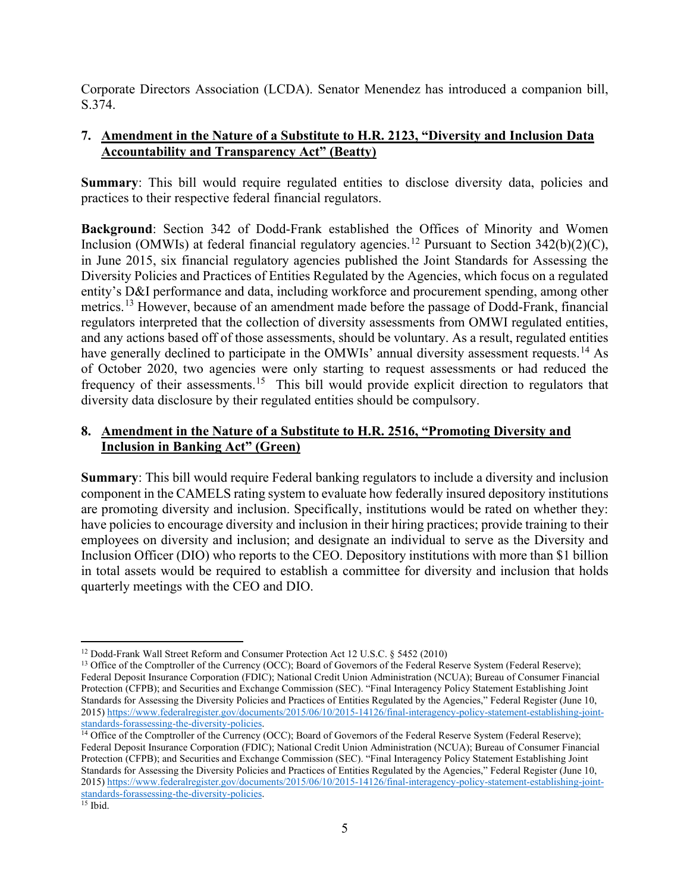Corporate Directors Association (LCDA). Senator Menendez has introduced a companion bill, S.374.

# **7. Amendment in the Nature of a Substitute to H.R. 2123, "Diversity and Inclusion Data Accountability and Transparency Act" (Beatty)**

**Summary**: This bill would require regulated entities to disclose diversity data, policies and practices to their respective federal financial regulators.

**Background**: Section 342 of Dodd-Frank established the Offices of Minority and Women Inclusion (OMWIs) at federal financial regulatory agencies.<sup>[12](#page-4-0)</sup> Pursuant to Section 342(b)(2)(C), in June 2015, six financial regulatory agencies published the Joint Standards for Assessing the Diversity Policies and Practices of Entities Regulated by the Agencies, which focus on a regulated entity's D&I performance and data, including workforce and procurement spending, among other metrics.<sup>[13](#page-4-1)</sup> However, because of an amendment made before the passage of Dodd-Frank, financial regulators interpreted that the collection of diversity assessments from OMWI regulated entities, and any actions based off of those assessments, should be voluntary. As a result, regulated entities have generally declined to participate in the OMWIs' annual diversity assessment requests.<sup>[14](#page-4-2)</sup> As of October 2020, two agencies were only starting to request assessments or had reduced the frequency of their assessments.<sup>15</sup> This bill would provide explicit direction to regulators that diversity data disclosure by their regulated entities should be compulsory.

# **8. Amendment in the Nature of a Substitute to H.R. 2516, "Promoting Diversity and Inclusion in Banking Act" (Green)**

**Summary**: This bill would require Federal banking regulators to include a diversity and inclusion component in the CAMELS rating system to evaluate how federally insured depository institutions are promoting diversity and inclusion. Specifically, institutions would be rated on whether they: have policies to encourage diversity and inclusion in their hiring practices; provide training to their employees on diversity and inclusion; and designate an individual to serve as the Diversity and Inclusion Officer (DIO) who reports to the CEO. Depository institutions with more than \$1 billion in total assets would be required to establish a committee for diversity and inclusion that holds quarterly meetings with the CEO and DIO.

<span id="page-4-0"></span><sup>12</sup> Dodd-Frank Wall Street Reform and Consumer Protection Act 12 U.S.C. § 5452 (2010)

<span id="page-4-1"></span><sup>&</sup>lt;sup>13</sup> Office of the Comptroller of the Currency (OCC); Board of Governors of the Federal Reserve System (Federal Reserve); Federal Deposit Insurance Corporation (FDIC); National Credit Union Administration (NCUA); Bureau of Consumer Financial Protection (CFPB); and Securities and Exchange Commission (SEC). "Final Interagency Policy Statement Establishing Joint Standards for Assessing the Diversity Policies and Practices of Entities Regulated by the Agencies," Federal Register (June 10, 2015) https://www.federalregister.gov/documents/2015/06/10/2015-14126/final-interagency-policy-statement-establishing-joint-<br>standards-forassessing-the-diversity-policies.

<span id="page-4-3"></span><span id="page-4-2"></span><sup>&</sup>lt;sup>14</sup> Office of the Comptroller of the Currency (OCC); Board of Governors of the Federal Reserve System (Federal Reserve); Federal Deposit Insurance Corporation (FDIC); National Credit Union Administration (NCUA); Bureau of Consumer Financial Protection (CFPB); and Securities and Exchange Commission (SEC). "Final Interagency Policy Statement Establishing Joint Standards for Assessing the Diversity Policies and Practices of Entities Regulated by the Agencies," Federal Register (June 10, 2015[\) https://www.federalregister.gov/documents/2015/06/10/2015-14126/final-interagency-policy-statement-establishing-joint](https://www.federalregister.gov/documents/2015/06/10/2015-14126/final-interagency-policy-statement-establishing-joint-standards-forassessing-the-diversity-policies)[standards-forassessing-the-diversity-policies.](https://www.federalregister.gov/documents/2015/06/10/2015-14126/final-interagency-policy-statement-establishing-joint-standards-forassessing-the-diversity-policies) 15 Ibid.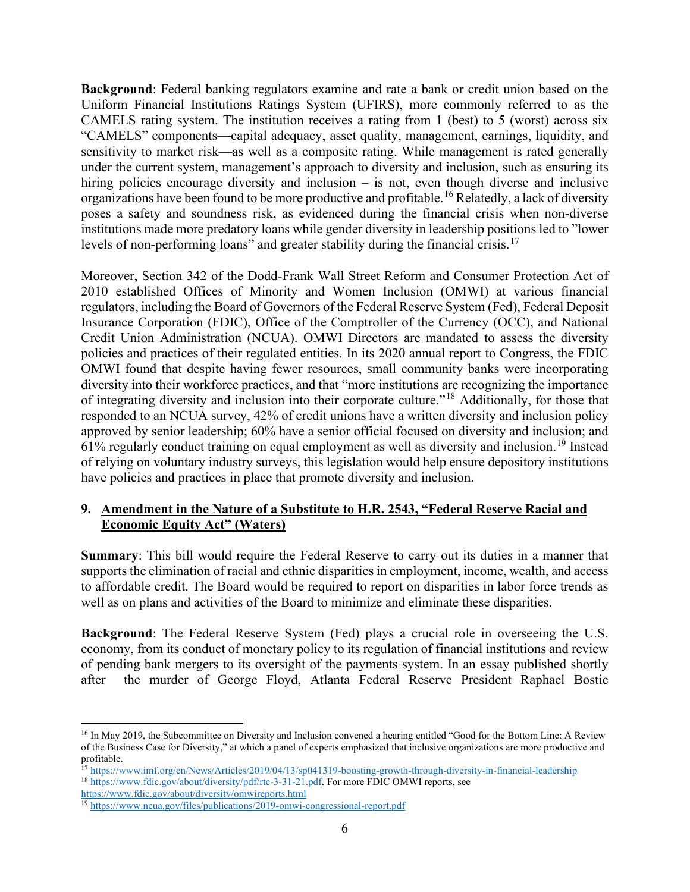**Background**: Federal banking regulators examine and rate a bank or credit union based on the Uniform Financial Institutions Ratings System (UFIRS), more commonly referred to as the CAMELS rating system. The institution receives a rating from 1 (best) to 5 (worst) across six "CAMELS" components—capital adequacy, asset quality, management, earnings, liquidity, and sensitivity to market risk—as well as a composite rating. While management is rated generally under the current system, management's approach to diversity and inclusion, such as ensuring its hiring policies encourage diversity and inclusion – is not, even though diverse and inclusive organizations have been found to be more productive and profitable.<sup>[16](#page-5-0)</sup> Relatedly, a lack of diversity poses a safety and soundness risk, as evidenced during the financial crisis when non-diverse institutions made more predatory loans while gender diversity in leadership positions led to "lower levels of non-performing loans" and greater stability during the financial crisis.<sup>[17](#page-5-1)</sup>

Moreover, Section 342 of the Dodd-Frank Wall Street Reform and Consumer Protection Act of 2010 established Offices of Minority and Women Inclusion (OMWI) at various financial regulators, including the Board of Governors of the Federal Reserve System (Fed), Federal Deposit Insurance Corporation (FDIC), Office of the Comptroller of the Currency (OCC), and National Credit Union Administration (NCUA). OMWI Directors are mandated to assess the diversity policies and practices of their regulated entities. In its 2020 annual report to Congress, the FDIC OMWI found that despite having fewer resources, small community banks were incorporating diversity into their workforce practices, and that "more institutions are recognizing the importance of integrating diversity and inclusion into their corporate culture."[18](#page-5-2) Additionally, for those that responded to an NCUA survey, 42% of credit unions have a written diversity and inclusion policy approved by senior leadership; 60% have a senior official focused on diversity and inclusion; and 61% regularly conduct training on equal employment as well as diversity and inclusion.[19](#page-5-3) Instead of relying on voluntary industry surveys, this legislation would help ensure depository institutions have policies and practices in place that promote diversity and inclusion.

#### **9. Amendment in the Nature of a Substitute to H.R. 2543, "Federal Reserve Racial and Economic Equity Act" (Waters)**

**Summary**: This bill would require the Federal Reserve to carry out its duties in a manner that supports the elimination of racial and ethnic disparities in employment, income, wealth, and access to affordable credit. The Board would be required to report on disparities in labor force trends as well as on plans and activities of the Board to minimize and eliminate these disparities.

**Background**: The Federal Reserve System (Fed) plays a crucial role in overseeing the U.S. economy, from its conduct of monetary policy to its regulation of financial institutions and review of pending bank mergers to its oversight of the payments system. In an essay published shortly after the murder of George Floyd, Atlanta Federal Reserve President Raphael Bostic

<span id="page-5-0"></span><sup>&</sup>lt;sup>16</sup> In May 2019, the Subcommittee on Diversity and Inclusion convened a hearing entitled "Good for the Bottom Line: A Review of the Business Case for Diversity," at which a panel of experts emphasized that inclusive organizations are more productive and profitable.

<span id="page-5-2"></span><span id="page-5-1"></span><sup>&</sup>lt;sup>17</sup> <https://www.imf.org/en/News/Articles/2019/04/13/sp041319-boosting-growth-through-diversity-in-financial-leadership>18 [https://www.fdic.gov/about/diversity/pdf/rtc-3-31-21.pdf.](https://www.fdic.gov/about/diversity/pdf/rtc-3-31-21.pdf) For more FDIC OMWI reports, see

<https://www.fdic.gov/about/diversity/omwireports.html>

<span id="page-5-3"></span><sup>19</sup> <https://www.ncua.gov/files/publications/2019-omwi-congressional-report.pdf>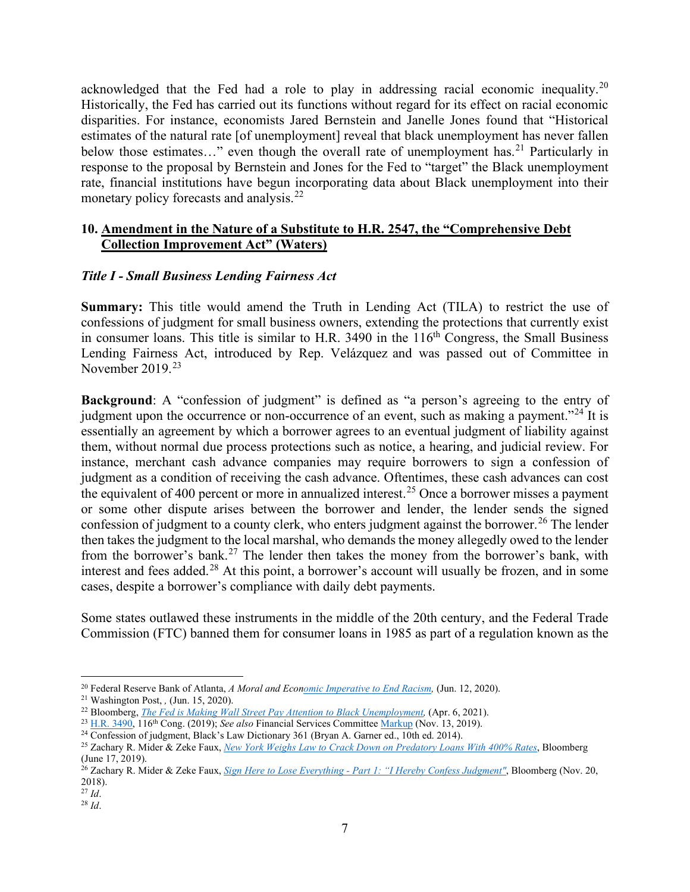acknowledged that the Fed had a role to play in addressing racial economic inequality.<sup>[20](#page-6-0)</sup> Historically, the Fed has carried out its functions without regard for its effect on racial economic disparities. For instance, economists Jared Bernstein and Janelle Jones found that "Historical estimates of the natural rate [of unemployment] reveal that black unemployment has never fallen below those estimates..." even though the overall rate of unemployment has.<sup>[21](#page-6-1)</sup> Particularly in response to the proposal by Bernstein and Jones for the Fed to "target" the Black unemployment rate, financial institutions have begun incorporating data about Black unemployment into their monetary policy forecasts and analysis.<sup>[22](#page-6-2)</sup>

## **10. Amendment in the Nature of a Substitute to H.R. 2547, the "Comprehensive Debt Collection Improvement Act" (Waters)**

# *Title I - Small Business Lending Fairness Act*

**Summary:** This title would amend the Truth in Lending Act (TILA) to restrict the use of confessions of judgment for small business owners, extending the protections that currently exist in consumer loans. This title is similar to H.R. 3490 in the  $116<sup>th</sup>$  Congress, the Small Business Lending Fairness Act, introduced by Rep. Velázquez and was passed out of Committee in November 2019.[23](#page-6-3)

**Background:** A "confession of judgment" is defined as "a person's agreeing to the entry of judgment upon the occurrence or non-occurrence of an event, such as making a payment.<sup> $24$ </sup> It is essentially an agreement by which a borrower agrees to an eventual judgment of liability against them, without normal due process protections such as notice, a hearing, and judicial review. For instance, merchant cash advance companies may require borrowers to sign a confession of judgment as a condition of receiving the cash advance. Oftentimes, these cash advances can cost the equivalent of 400 percent or more in annualized interest.<sup>[25](#page-6-5)</sup> Once a borrower misses a payment or some other dispute arises between the borrower and lender, the lender sends the signed confession of judgment to a county clerk, who enters judgment against the borrower.<sup>[26](#page-6-6)</sup> The lender then takes the judgment to the local marshal, who demands the money allegedly owed to the lender from the borrower's bank.<sup>[27](#page-6-7)</sup> The lender then takes the money from the borrower's bank, with interest and fees added.<sup>[28](#page-6-8)</sup> At this point, a borrower's account will usually be frozen, and in some cases, despite a borrower's compliance with daily debt payments.

Some states outlawed these instruments in the middle of the 20th century, and the Federal Trade Commission (FTC) banned them for consumer loans in 1985 as part of a regulation known as the

<span id="page-6-0"></span><sup>&</sup>lt;sup>20</sup> Federal Reserve Bank of Atlanta, *A Moral and Economic Imperative to End Racism*, (Jun. 12, 2020).

<span id="page-6-1"></span><sup>21</sup> Washington Post, *,* (Jun. 15, 2020).

<span id="page-6-2"></span><sup>&</sup>lt;sup>22</sup> Bloomberg, *The Fed is Making Wall Street Pay Attention to Black Unemployment*, (Apr. 6, 2021).

<span id="page-6-3"></span><sup>&</sup>lt;sup>23</sup> [H.R. 3490,](https://www.congress.gov/bill/116th-congress/house-bill/3490) 116<sup>th</sup> Cong. (2019); *See also* Financial Services Committee [Markup](https://financialservices.house.gov/calendar/eventsingle.aspx?EventID=404727) (Nov. 13, 2019).

<span id="page-6-4"></span><sup>&</sup>lt;sup>24</sup> Confession of judgment, Black's Law Dictionary 361 (Bryan A. Garner ed., 10th ed. 2014).

<span id="page-6-5"></span><sup>25</sup> Zachary R. Mider & Zeke Faux, *[New York Weighs Law to Crack Down on Predatory Loans With 400% Rates](https://www.bloomberg.com/news/articles/2019-06-17/new-york-state-weighs-law-to-curtail-predatory-lending-abuses)*, Bloomberg (June 17, 2019).

<span id="page-6-6"></span><sup>26</sup> Zachary R. Mider & Zeke Faux, *Sign Here to Lose Everything - [Part 1: "I Hereby Confess Judgment"](https://www.bloomberg.com/graphics/2018-confessions-of-judgment)*, Bloomberg (Nov. 20, 2018).

<span id="page-6-7"></span><sup>27</sup> *Id*.

<span id="page-6-8"></span><sup>28</sup> *Id*.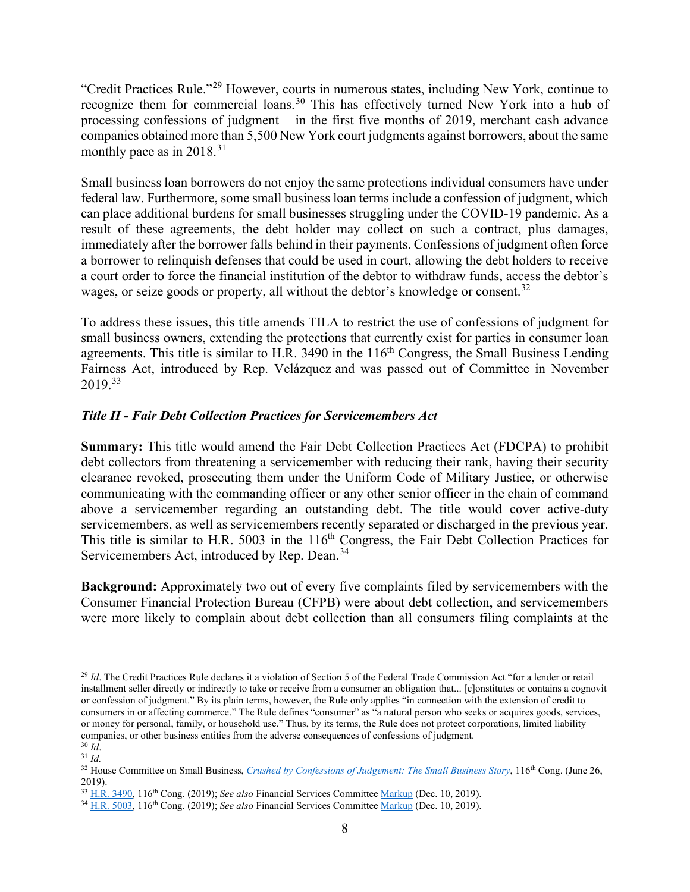"Credit Practices Rule."[29](#page-7-0) However, courts in numerous states, including New York, continue to recognize them for commercial loans.<sup>[30](#page-7-1)</sup> This has effectively turned New York into a hub of processing confessions of judgment – in the first five months of 2019, merchant cash advance companies obtained more than 5,500 New York court judgments against borrowers, about the same monthly pace as in  $2018.<sup>31</sup>$  $2018.<sup>31</sup>$  $2018.<sup>31</sup>$ 

Small business loan borrowers do not enjoy the same protections individual consumers have under federal law. Furthermore, some small business loan terms include a confession of judgment, which can place additional burdens for small businesses struggling under the COVID-19 pandemic. As a result of these agreements, the debt holder may collect on such a contract, plus damages, immediately after the borrower falls behind in their payments. Confessions of judgment often force a borrower to relinquish defenses that could be used in court, allowing the debt holders to receive a court order to force the financial institution of the debtor to withdraw funds, access the debtor's wages, or seize goods or property, all without the debtor's knowledge or consent.<sup>[32](#page-7-3)</sup>

To address these issues, this title amends TILA to restrict the use of confessions of judgment for small business owners, extending the protections that currently exist for parties in consumer loan agreements. This title is similar to H.R. 3490 in the  $116<sup>th</sup>$  Congress, the Small Business Lending Fairness Act, introduced by Rep. Velázquez and was passed out of Committee in November 2019.[33](#page-7-4)

# *Title II - Fair Debt Collection Practices for Servicemembers Act*

**Summary:** This title would amend the Fair Debt Collection Practices Act (FDCPA) to prohibit debt collectors from threatening a servicemember with reducing their rank, having their security clearance revoked, prosecuting them under the Uniform Code of Military Justice, or otherwise communicating with the commanding officer or any other senior officer in the chain of command above a servicemember regarding an outstanding debt. The title would cover active-duty servicemembers, as well as servicemembers recently separated or discharged in the previous year. This title is similar to H.R. 5003 in the 116<sup>th</sup> Congress, the Fair Debt Collection Practices for Servicemembers Act, introduced by Rep. Dean.<sup>[34](#page-7-5)</sup>

**Background:** Approximately two out of every five complaints filed by servicemembers with the Consumer Financial Protection Bureau (CFPB) were about debt collection, and servicemembers were more likely to complain about debt collection than all consumers filing complaints at the

<span id="page-7-0"></span><sup>&</sup>lt;sup>29</sup> *Id*. The Credit Practices Rule declares it a violation of Section 5 of the Federal Trade Commission Act "for a lender or retail installment seller directly or indirectly to take or receive from a consumer an obligation that... [c]onstitutes or contains a cognovit or confession of judgment." By its plain terms, however, the Rule only applies "in connection with the extension of credit to consumers in or affecting commerce." The Rule defines "consumer" as "a natural person who seeks or acquires goods, services, or money for personal, family, or household use." Thus, by its terms, the Rule does not protect corporations, limited liability companies, or other business entities from the adverse consequences of confessions of judgment. <sup>30</sup> *Id*.

<span id="page-7-2"></span><span id="page-7-1"></span><sup>31</sup> *Id.*

<span id="page-7-3"></span><sup>&</sup>lt;sup>32</sup> House Committee on Small Business, *[Crushed by Confessions of Judgement: The Small Business Story](https://smallbusiness.house.gov/calendar/eventsingle.aspx?EventID=2681)*, 116<sup>th</sup> Cong. (June 26, 2019).

<span id="page-7-4"></span><sup>33</sup> [H.R. 3490,](https://www.congress.gov/bill/116th-congress/house-bill/3490) 116th Cong. (2019); *See also* Financial Services Committee [Markup](https://financialservices.house.gov/calendar/eventsingle.aspx?EventID=404859.) (Dec. 10, 2019).

<span id="page-7-5"></span><sup>34</sup> [H.R. 5003,](https://www.congress.gov/bill/116th-congress/house-bill/5003) 116th Cong. (2019); *See also* Financial Services Committee [Markup](https://financialservices.house.gov/calendar/eventsingle.aspx?EventID=404859.) (Dec. 10, 2019).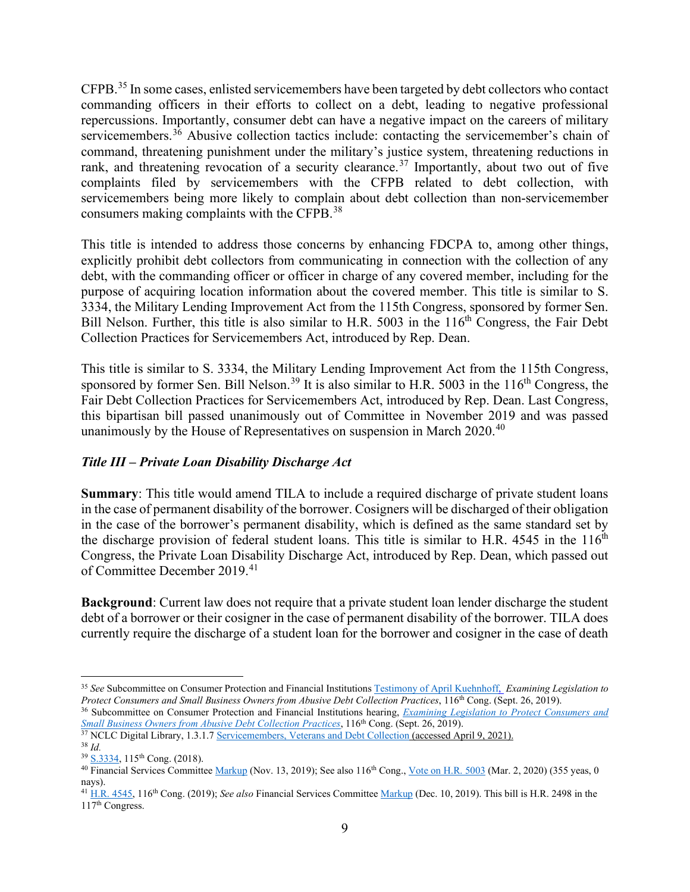CFPB.[35](#page-8-0) In some cases, enlisted servicemembers have been targeted by debt collectors who contact commanding officers in their efforts to collect on a debt, leading to negative professional repercussions. Importantly, consumer debt can have a negative impact on the careers of military servicemembers.<sup>[36](#page-8-1)</sup> Abusive collection tactics include: contacting the servicemember's chain of command, threatening punishment under the military's justice system, threatening reductions in rank, and threatening revocation of a security clearance.<sup>[37](#page-8-2)</sup> Importantly, about two out of five complaints filed by servicemembers with the CFPB related to debt collection, with servicemembers being more likely to complain about debt collection than non-servicemember consumers making complaints with the CFPB.[38](#page-8-3)

This title is intended to address those concerns by enhancing FDCPA to, among other things, explicitly prohibit debt collectors from communicating in connection with the collection of any debt, with the commanding officer or officer in charge of any covered member, including for the purpose of acquiring location information about the covered member. This title is similar to S. 3334, the Military Lending Improvement Act from the 115th Congress, sponsored by former Sen. Bill Nelson. Further, this title is also similar to H.R. 5003 in the  $116<sup>th</sup>$  Congress, the Fair Debt Collection Practices for Servicemembers Act, introduced by Rep. Dean.

This title is similar to S. 3334, the Military Lending Improvement Act from the 115th Congress, sponsored by former Sen. Bill Nelson.<sup>[39](#page-8-4)</sup> It is also similar to H.R. 5003 in the  $116<sup>th</sup>$  Congress, the Fair Debt Collection Practices for Servicemembers Act, introduced by Rep. Dean. Last Congress, this bipartisan bill passed unanimously out of Committee in November 2019 and was passed unanimously by the House of Representatives on suspension in March 2020.<sup>[40](#page-8-5)</sup>

# *Title III – Private Loan Disability Discharge Act*

**Summary**: This title would amend TILA to include a required discharge of private student loans in the case of permanent disability of the borrower. Cosigners will be discharged of their obligation in the case of the borrower's permanent disability, which is defined as the same standard set by the discharge provision of federal student loans. This title is similar to H.R. 4545 in the  $116<sup>th</sup>$ Congress, the Private Loan Disability Discharge Act, introduced by Rep. Dean, which passed out of Committee December 2019.[41](#page-8-6)

**Background**: Current law does not require that a private student loan lender discharge the student debt of a borrower or their cosigner in the case of permanent disability of the borrower. TILA does currently require the discharge of a student loan for the borrower and cosigner in the case of death

<span id="page-8-0"></span><sup>35</sup> *See* Subcommittee on Consumer Protection and Financial Institutions [Testimony of April Kuehnhoff,](https://financialservices.house.gov/uploadedfiles/hhrg-116-ba00-wstate-kuehnhoffa-20190926.pdf) *Examining Legislation to Protect Consumers and Small Business Owners from Abusive Debt Collection Practices*, 116<sup>th</sup> Cong. (Sept. 26, 2019).

<span id="page-8-1"></span><sup>&</sup>lt;sup>36</sup> Subcommittee on Consumer Protection and Financial Institutions hearing, *Examining Legislation to Protect Consumers and Small Business Owners from Abusive Debt Collection Practices*, 116<sup>th</sup> Cong. (Sept. 26, 2019).

<span id="page-8-2"></span><sup>&</sup>lt;sup>37</sup> NCLC Digital Library, 1.3.1.[7 Servicemembers, Veterans and Debt Collection](https://library.nclc.org/fdc/01030107-0) (accessed April 9, 2021). <sup>38</sup> *Id.*

<span id="page-8-4"></span><span id="page-8-3"></span><sup>39</sup> [S.3334,](https://www.congress.gov/bill/115th-congress/senate-bill/3334) 115th Cong. (2018).

<span id="page-8-5"></span><sup>&</sup>lt;sup>40</sup> Financial Services Committee [Markup](https://financialservices.house.gov/calendar/eventsingle.aspx?EventID=404727) (Nov. 13, 2019); See also 116<sup>th</sup> Cong.[, Vote on H.R. 5003](https://clerk.house.gov/Votes/202079) (Mar. 2, 2020) (355 yeas, 0 nays).

<span id="page-8-6"></span><sup>41</sup> [H.R. 4545,](https://www.congress.gov/bill/116th-congress/house-bill/4545) 116th Cong. (2019); *See also* Financial Services Committee [Markup](https://financialservices.house.gov/calendar/eventsingle.aspx?EventID=404859.) (Dec. 10, 2019). This bill is H.R. 2498 in the 117th Congress.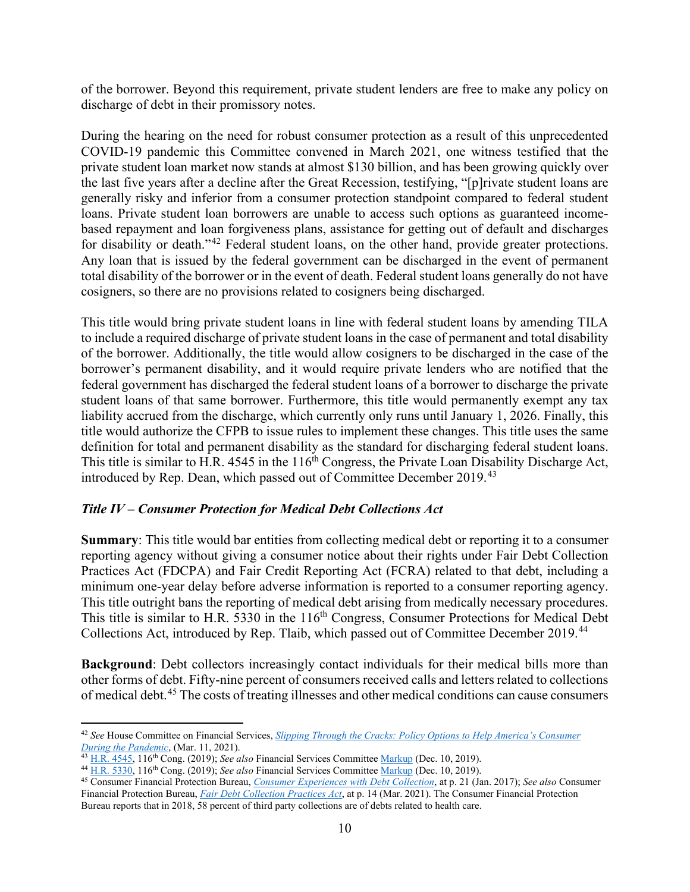of the borrower. Beyond this requirement, private student lenders are free to make any policy on discharge of debt in their promissory notes.

During the hearing on the need for robust consumer protection as a result of this unprecedented COVID-19 pandemic this Committee convened in March 2021, one witness testified that the private student loan market now stands at almost \$130 billion, and has been growing quickly over the last five years after a decline after the Great Recession, testifying, "[p]rivate student loans are generally risky and inferior from a consumer protection standpoint compared to federal student loans. Private student loan borrowers are unable to access such options as guaranteed incomebased repayment and loan forgiveness plans, assistance for getting out of default and discharges for disability or death."<sup>[42](#page-9-0)</sup> Federal student loans, on the other hand, provide greater protections. Any loan that is issued by the federal government can be discharged in the event of permanent total disability of the borrower or in the event of death. Federal student loans generally do not have cosigners, so there are no provisions related to cosigners being discharged.

This title would bring private student loans in line with federal student loans by amending TILA to include a required discharge of private student loans in the case of permanent and total disability of the borrower. Additionally, the title would allow cosigners to be discharged in the case of the borrower's permanent disability, and it would require private lenders who are notified that the federal government has discharged the federal student loans of a borrower to discharge the private student loans of that same borrower. Furthermore, this title would permanently exempt any tax liability accrued from the discharge, which currently only runs until January 1, 2026. Finally, this title would authorize the CFPB to issue rules to implement these changes. This title uses the same definition for total and permanent disability as the standard for discharging federal student loans. This title is similar to H.R. 4545 in the 116<sup>th</sup> Congress, the Private Loan Disability Discharge Act, introduced by Rep. Dean, which passed out of Committee December 2019.[43](#page-9-1)

#### *Title IV – Consumer Protection for Medical Debt Collections Act*

**Summary**: This title would bar entities from collecting medical debt or reporting it to a consumer reporting agency without giving a consumer notice about their rights under Fair Debt Collection Practices Act (FDCPA) and Fair Credit Reporting Act (FCRA) related to that debt, including a minimum one-year delay before adverse information is reported to a consumer reporting agency. This title outright bans the reporting of medical debt arising from medically necessary procedures. This title is similar to H.R. 5330 in the 116<sup>th</sup> Congress, Consumer Protections for Medical Debt Collections Act, introduced by Rep. Tlaib, which passed out of Committee December 2019.[44](#page-9-2)

**Background**: Debt collectors increasingly contact individuals for their medical bills more than other forms of debt. Fifty-nine percent of consumers received calls and letters related to collections of medical debt.[45](#page-9-3) The costs of treating illnesses and other medical conditions can cause consumers

<span id="page-9-0"></span><sup>42</sup> *See* House Committee on Financial Services, *[Slipping Through the Cracks: Policy Options to Help America's Consumer](https://financialservices.house.gov/calendar/eventsingle.aspx?EventID=406266)  [During the Pandemic](https://financialservices.house.gov/calendar/eventsingle.aspx?EventID=406266)*, (Mar. 11, 2021).

<span id="page-9-1"></span><sup>43</sup> [H.R. 4545,](https://www.congress.gov/bill/116th-congress/house-bill/4545) 116th Cong. (2019); *See also* Financial Services Committee [Markup](https://financialservices.house.gov/calendar/eventsingle.aspx?EventID=404859.) (Dec. 10, 2019).

<span id="page-9-2"></span><sup>&</sup>lt;sup>44</sup> [H.R. 5330,](https://www.congress.gov/bill/116th-congress/house-bill/5330) 116<sup>th</sup> Cong. [\(](https://financialservices.house.gov/calendar/eventsingle.aspx?EventID=404859.)2019); See also Financial Services Committee Markup (Dec. 10, 2019).<br><sup>45</sup> Consumer Financial Protection Bureau, *[Consumer Experiences with Debt Collection](https://files.consumerfinance.gov/f/documents/201701_cfpb_Debt-Collection-Survey-Report.pdf#page=%5B5%5D.21)*, at p. 21 (Jan. 2017); See also Con

<span id="page-9-3"></span>Financial Protection Bureau, *[Fair Debt Collection Practices Act](https://files.consumerfinance.gov/f/documents/cfpb_fdcpa_annual-report-congress_03-2021.pdf)*, at p. 14 (Mar. 2021). The Consumer Financial Protection Bureau reports that in 2018, 58 percent of third party collections are of debts related to health care.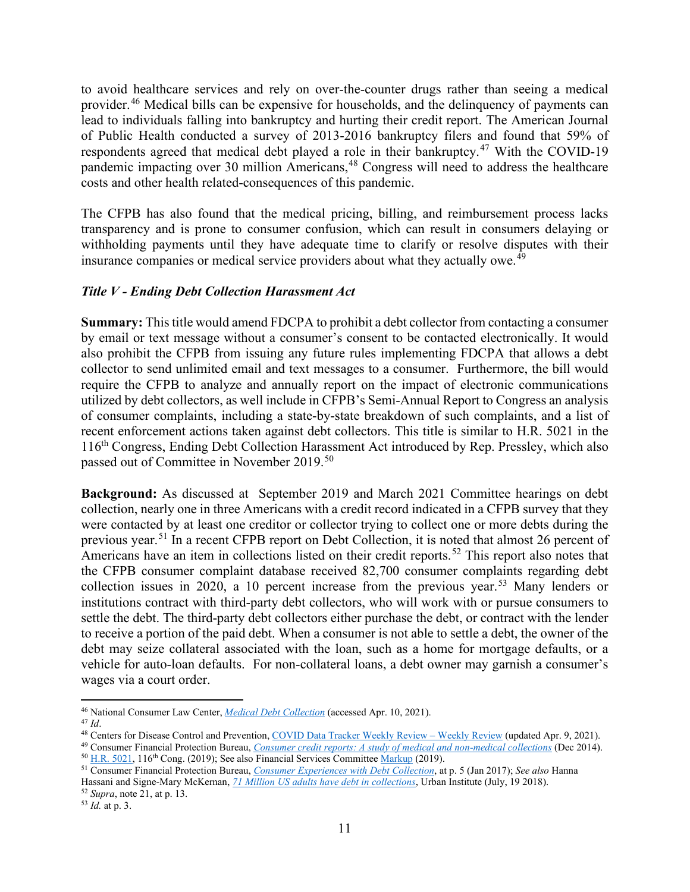to avoid healthcare services and rely on over-the-counter drugs rather than seeing a medical provider.<sup>[46](#page-10-0)</sup> Medical bills can be expensive for households, and the delinquency of payments can lead to individuals falling into bankruptcy and hurting their credit report. The American Journal of Public Health conducted a survey of 2013-2016 bankruptcy filers and found that 59% of respondents agreed that medical debt played a role in their bankruptcy.[47](#page-10-1) With the COVID-19 pandemic impacting over 30 million Americans, [48](#page-10-2) Congress will need to address the healthcare costs and other health related-consequences of this pandemic.

The CFPB has also found that the medical pricing, billing, and reimbursement process lacks transparency and is prone to consumer confusion, which can result in consumers delaying or withholding payments until they have adequate time to clarify or resolve disputes with their insurance companies or medical service providers about what they actually owe.<sup>[49](#page-10-3)</sup>

#### *Title V - Ending Debt Collection Harassment Act*

**Summary:** This title would amend FDCPA to prohibit a debt collector from contacting a consumer by email or text message without a consumer's consent to be contacted electronically. It would also prohibit the CFPB from issuing any future rules implementing FDCPA that allows a debt collector to send unlimited email and text messages to a consumer. Furthermore, the bill would require the CFPB to analyze and annually report on the impact of electronic communications utilized by debt collectors, as well include in CFPB's Semi-Annual Report to Congress an analysis of consumer complaints, including a state-by-state breakdown of such complaints, and a list of recent enforcement actions taken against debt collectors. This title is similar to H.R. 5021 in the 116th Congress, Ending Debt Collection Harassment Act introduced by Rep. Pressley, which also passed out of Committee in November 2019.<sup>[50](#page-10-4)</sup>

**Background:** As discussed at September 2019 and March 2021 Committee hearings on debt collection, nearly one in three Americans with a credit record indicated in a CFPB survey that they were contacted by at least one creditor or collector trying to collect one or more debts during the previous year.<sup>[51](#page-10-5)</sup> In a recent CFPB report on Debt Collection, it is noted that almost 26 percent of Americans have an item in collections listed on their credit reports.<sup>[52](#page-10-6)</sup> This report also notes that the CFPB consumer complaint database received 82,700 consumer complaints regarding debt collection issues in 2020, a 10 percent increase from the previous year.<sup>[53](#page-10-7)</sup> Many lenders or institutions contract with third-party debt collectors, who will work with or pursue consumers to settle the debt. The third-party debt collectors either purchase the debt, or contract with the lender to receive a portion of the paid debt. When a consumer is not able to settle a debt, the owner of the debt may seize collateral associated with the loan, such as a home for mortgage defaults, or a vehicle for auto-loan defaults. For non-collateral loans, a debt owner may garnish a consumer's wages via a court order.

<span id="page-10-7"></span><span id="page-10-6"></span><sup>53</sup> *Id.* at p. 3.

<span id="page-10-0"></span><sup>46</sup> National Consumer Law Center, *[Medical Debt Collection](https://www.nclc.org/images/Medical-Debt-Collection.pdf)* (accessed Apr. 10, 2021).

<span id="page-10-2"></span><span id="page-10-1"></span><sup>&</sup>lt;sup>48</sup> Centers for Disease Control and Prevention[, COVID Data Tracker Weekly Review –](https://www.cdc.gov/coronavirus/2019-ncov/covid-data/covidview/index.html) Weekly Review (updated Apr. 9, 2021).

<span id="page-10-3"></span><sup>49</sup> Consumer Financial Protection Bureau, *[Consumer credit reports: A study of medical and non-medical collections](https://files.consumerfinance.gov/f/201412_cfpb_reports_consumer-credit-medical-and-non-medical-collections.pdf)* (Dec 2014). <sup>50</sup> [H.R. 5021,](https://www.congress.gov/bill/116th-congress/house-bill/5021?q=%7B%22search%22%3A%5B%22hr5021%22%5D%7D&s=3&r=1) 116<sup>th</sup> Cong. (2019); See also Financial Services Committee [Markup](https://financialservices.house.gov/calendar/eventsingle.aspx?EventID=404727) (2019).

<span id="page-10-5"></span><span id="page-10-4"></span><sup>51</sup> Consumer Financial Protection Bureau, *[Consumer Experiences with Debt Collection](https://files.consumerfinance.gov/f/documents/201701_cfpb_Debt-Collection-Survey-Report.pdf#page=%5B5%7D)*, at p. 5 (Jan 2017); *See also* Hanna Hassani and Signe-Mary McKernan, *[71 Million US adults have debt in collections](https://www.urban.org/urban-wire/71-million-us-adults-have-debt-collections)*, Urban Institute (July, 19 2018). <sup>52</sup> *Supra*, note 21, at p. 13.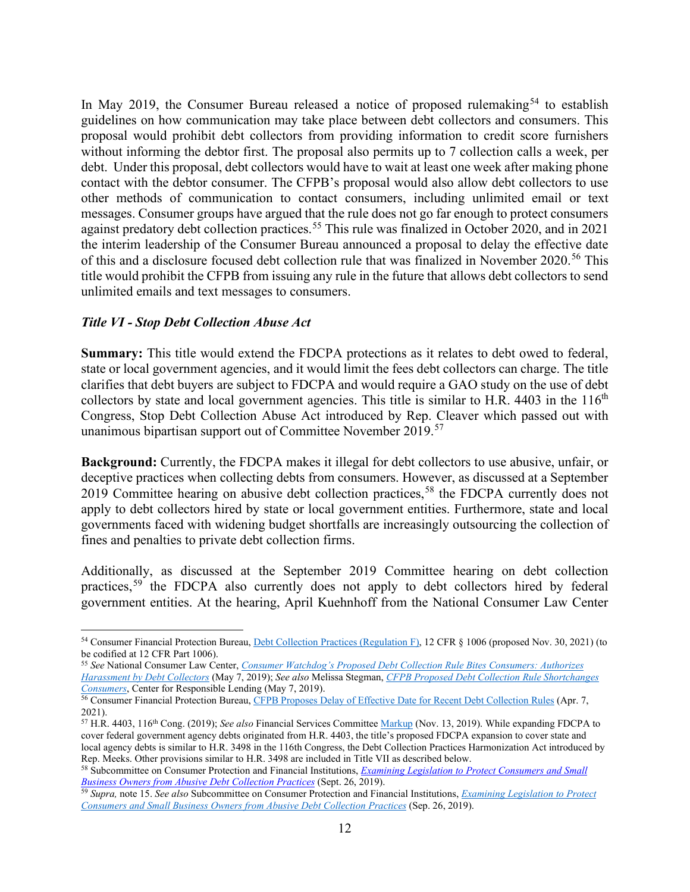In May 2019, the Consumer Bureau released a notice of proposed rulemaking<sup>[54](#page-11-0)</sup> to establish guidelines on how communication may take place between debt collectors and consumers. This proposal would prohibit debt collectors from providing information to credit score furnishers without informing the debtor first. The proposal also permits up to 7 collection calls a week, per debt. Under this proposal, debt collectors would have to wait at least one week after making phone contact with the debtor consumer. The CFPB's proposal would also allow debt collectors to use other methods of communication to contact consumers, including unlimited email or text messages. Consumer groups have argued that the rule does not go far enough to protect consumers against predatory debt collection practices.<sup>[55](#page-11-1)</sup> This rule was finalized in October 2020, and in 2021 the interim leadership of the Consumer Bureau announced a proposal to delay the effective date of this and a disclosure focused debt collection rule that was finalized in November 2020.<sup>[56](#page-11-2)</sup> This title would prohibit the CFPB from issuing any rule in the future that allows debt collectors to send unlimited emails and text messages to consumers.

#### *Title VI - Stop Debt Collection Abuse Act*

**Summary:** This title would extend the FDCPA protections as it relates to debt owed to federal, state or local government agencies, and it would limit the fees debt collectors can charge. The title clarifies that debt buyers are subject to FDCPA and would require a GAO study on the use of debt collectors by state and local government agencies. This title is similar to H.R. 4403 in the  $116<sup>th</sup>$ Congress, Stop Debt Collection Abuse Act introduced by Rep. Cleaver which passed out with unanimous bipartisan support out of Committee November 2019.<sup>[57](#page-11-3)</sup>

**Background:** Currently, the FDCPA makes it illegal for debt collectors to use abusive, unfair, or deceptive practices when collecting debts from consumers. However, as discussed at a September 2019 Committee hearing on abusive debt collection practices,<sup>[58](#page-11-4)</sup> the FDCPA currently does not apply to debt collectors hired by state or local government entities. Furthermore, state and local governments faced with widening budget shortfalls are increasingly outsourcing the collection of fines and penalties to private debt collection firms.

Additionally, as discussed at the September 2019 Committee hearing on debt collection practices,<sup>[59](#page-11-5)</sup> the FDCPA also currently does not apply to debt collectors hired by federal government entities. At the hearing, April Kuehnhoff from the National Consumer Law Center

<span id="page-11-0"></span><sup>54</sup> Consumer Financial Protection Bureau, [Debt Collection Practices \(Regulation F\),](https://files.consumerfinance.gov/f/documents/cfpb_debt-collection-NPRM.pdf) 12 CFR § 1006 (proposed Nov. 30, 2021) (to be codified at 12 CFR Part 1006).

<span id="page-11-1"></span><sup>55</sup> *See* National Consumer Law Center, *Consumer Watchdog's Proposed [Debt Collection Rule Bites Consumers: Authorizes](https://www.nclc.org/media-center/consumer-watchdogs-proposed-debt-collection-rule-bites-consumers-authorizes-harassment-by-debt-collectors.html)  [Harassment by Debt Collectors](https://www.nclc.org/media-center/consumer-watchdogs-proposed-debt-collection-rule-bites-consumers-authorizes-harassment-by-debt-collectors.html)* (May 7, 2019); *See also* Melissa Stegman, *[CFPB Proposed Debt Collection Rule Shortchanges](https://www.responsiblelending.org/media/cfpb-proposed-debt-collection-rule-shortchanges-consumers)  [Consumers](https://www.responsiblelending.org/media/cfpb-proposed-debt-collection-rule-shortchanges-consumers)*, Center for Responsible Lending (May 7, 2019).

<span id="page-11-2"></span><sup>&</sup>lt;sup>56</sup> Consumer Financial Protection Bureau, [CFPB Proposes Delay of Effective Date for Recent Debt Collection Rules](https://www.consumerfinance.gov/about-us/newsroom/cfpb-proposes-delay-of-effective-date-for-recent-debt-collection-rules/) (Apr. 7, 2021).

<span id="page-11-3"></span><sup>57</sup> H.R. 4403, 116th Cong. (2019); *See also* Financial Services Committee [Markup](https://financialservices.house.gov/calendar/eventsingle.aspx?EventID=404727) (Nov. 13, 2019). While expanding FDCPA to cover federal government agency debts originated from H.R. 4403, the title's proposed FDCPA expansion to cover state and local agency debts is similar to H.R. 3498 in the 116th Congress, the Debt Collection Practices Harmonization Act introduced by Rep. Meeks. Other provisions similar to H.R. 3498 are included in Title VII as described below.

<span id="page-11-4"></span><sup>58</sup> Subcommittee on Consumer Protection and Financial Institutions, *Examining Legislation to Protect Consumers and Small Business Owners from Abusive Debt Collection Practices* (Sept. 26, 2019).

<span id="page-11-5"></span><sup>59</sup> *Supra,* note 15. *See also* Subcommittee on Consumer Protection and Financial Institutions, *[Examining Legislation to Protect](https://financialservices.house.gov/calendar/eventsingle.aspx?EventID=404239)  [Consumers and Small Business Owners from Abusive Debt Collection Practices](https://financialservices.house.gov/calendar/eventsingle.aspx?EventID=404239)* (Sep. 26, 2019).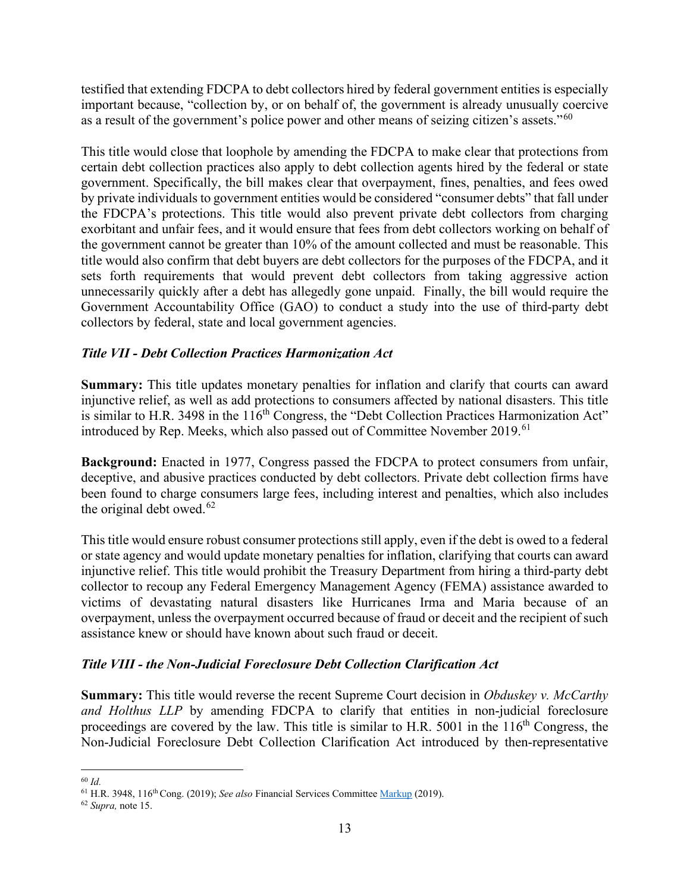testified that extending FDCPA to debt collectors hired by federal government entities is especially important because, "collection by, or on behalf of, the government is already unusually coercive as a result of the government's police power and other means of seizing citizen's assets."<sup>[60](#page-12-0)</sup>

This title would close that loophole by amending the FDCPA to make clear that protections from certain debt collection practices also apply to debt collection agents hired by the federal or state government. Specifically, the bill makes clear that overpayment, fines, penalties, and fees owed by private individuals to government entities would be considered "consumer debts" that fall under the FDCPA's protections. This title would also prevent private debt collectors from charging exorbitant and unfair fees, and it would ensure that fees from debt collectors working on behalf of the government cannot be greater than 10% of the amount collected and must be reasonable. This title would also confirm that debt buyers are debt collectors for the purposes of the FDCPA, and it sets forth requirements that would prevent debt collectors from taking aggressive action unnecessarily quickly after a debt has allegedly gone unpaid. Finally, the bill would require the Government Accountability Office (GAO) to conduct a study into the use of third-party debt collectors by federal, state and local government agencies.

# *Title VII - Debt Collection Practices Harmonization Act*

**Summary:** This title updates monetary penalties for inflation and clarify that courts can award injunctive relief, as well as add protections to consumers affected by national disasters. This title is similar to H.R. 3498 in the  $116<sup>th</sup>$  Congress, the "Debt Collection Practices Harmonization Act" introduced by Rep. Meeks, which also passed out of Committee November 2019.<sup>[61](#page-12-1)</sup>

**Background:** Enacted in 1977, Congress passed the FDCPA to protect consumers from unfair, deceptive, and abusive practices conducted by debt collectors. Private debt collection firms have been found to charge consumers large fees, including interest and penalties, which also includes the original debt owed. $62$ 

This title would ensure robust consumer protections still apply, even if the debt is owed to a federal or state agency and would update monetary penalties for inflation, clarifying that courts can award injunctive relief. This title would prohibit the Treasury Department from hiring a third-party debt collector to recoup any Federal Emergency Management Agency (FEMA) assistance awarded to victims of devastating natural disasters like Hurricanes Irma and Maria because of an overpayment, unless the overpayment occurred because of fraud or deceit and the recipient of such assistance knew or should have known about such fraud or deceit.

# *Title VIII - the Non-Judicial Foreclosure Debt Collection Clarification Act*

**Summary:** This title would reverse the recent Supreme Court decision in *Obduskey v. McCarthy and Holthus LLP* by amending FDCPA to clarify that entities in non-judicial foreclosure proceedings are covered by the law. This title is similar to H.R.  $5001$  in the  $116<sup>th</sup>$  Congress, the Non-Judicial Foreclosure Debt Collection Clarification Act introduced by then-representative

<span id="page-12-0"></span><sup>60</sup> *Id.*

<span id="page-12-1"></span><sup>61</sup> H.R. 3948, 116th Cong. (2019); *See also* Financial Services Committee [Markup](https://financialservices.house.gov/calendar/eventsingle.aspx?EventID=404727) (2019).

<span id="page-12-2"></span><sup>62</sup> *Supra,* note 15.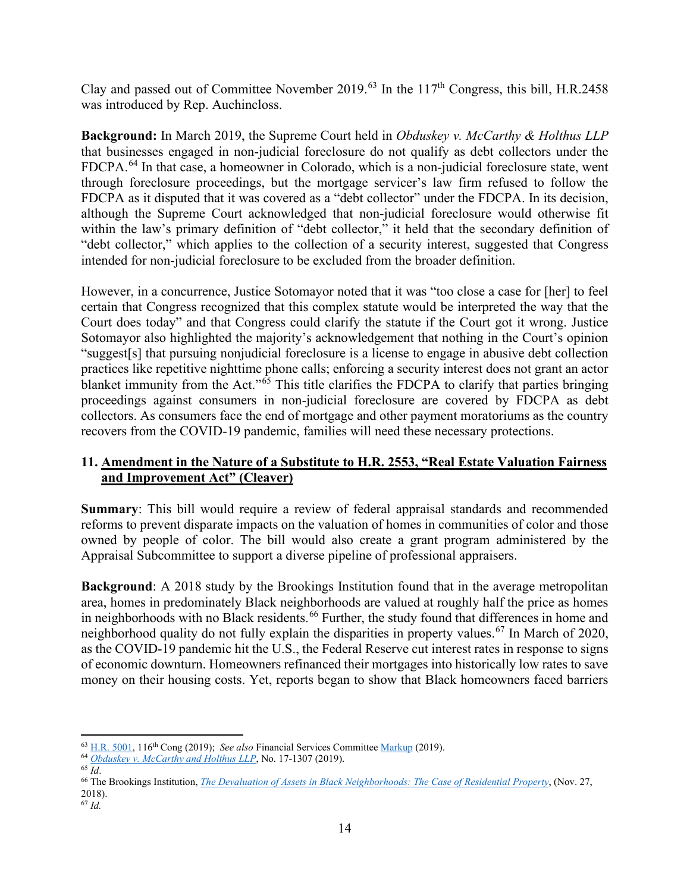Clay and passed out of Committee November 2019.<sup>[63](#page-13-0)</sup> In the 117<sup>th</sup> Congress, this bill, H.R.2458 was introduced by Rep. Auchincloss.

**Background:** In March 2019, the Supreme Court held in *Obduskey v. McCarthy & Holthus LLP* that businesses engaged in non-judicial foreclosure do not qualify as debt collectors under the FDCPA.<sup>[64](#page-13-1)</sup> In that case, a homeowner in Colorado, which is a non-judicial foreclosure state, went through foreclosure proceedings, but the mortgage servicer's law firm refused to follow the FDCPA as it disputed that it was covered as a "debt collector" under the FDCPA. In its decision, although the Supreme Court acknowledged that non-judicial foreclosure would otherwise fit within the law's primary definition of "debt collector," it held that the secondary definition of "debt collector," which applies to the collection of a security interest, suggested that Congress intended for non-judicial foreclosure to be excluded from the broader definition.

However, in a concurrence, Justice Sotomayor noted that it was "too close a case for [her] to feel certain that Congress recognized that this complex statute would be interpreted the way that the Court does today" and that Congress could clarify the statute if the Court got it wrong. Justice Sotomayor also highlighted the majority's acknowledgement that nothing in the Court's opinion "suggest[s] that pursuing nonjudicial foreclosure is a license to engage in abusive debt collection practices like repetitive nighttime phone calls; enforcing a security interest does not grant an actor blanket immunity from the Act."<sup>[65](#page-13-2)</sup> This title clarifies the FDCPA to clarify that parties bringing proceedings against consumers in non-judicial foreclosure are covered by FDCPA as debt collectors. As consumers face the end of mortgage and other payment moratoriums as the country recovers from the COVID-19 pandemic, families will need these necessary protections.

# **11. Amendment in the Nature of a Substitute to H.R. 2553, "Real Estate Valuation Fairness and Improvement Act" (Cleaver)**

**Summary**: This bill would require a review of federal appraisal standards and recommended reforms to prevent disparate impacts on the valuation of homes in communities of color and those owned by people of color. The bill would also create a grant program administered by the Appraisal Subcommittee to support a diverse pipeline of professional appraisers.

**Background**: A 2018 study by the Brookings Institution found that in the average metropolitan area, homes in predominately Black neighborhoods are valued at roughly half the price as homes in neighborhoods with no Black residents.<sup>[66](#page-13-3)</sup> Further, the study found that differences in home and neighborhood quality do not fully explain the disparities in property values.<sup>[67](#page-13-4)</sup> In March of 2020, as the COVID-19 pandemic hit the U.S., the Federal Reserve cut interest rates in response to signs of economic downturn. Homeowners refinanced their mortgages into historically low rates to save money on their housing costs. Yet, reports began to show that Black homeowners faced barriers

<span id="page-13-0"></span><sup>63</sup> [H.R. 5001,](https://www.congress.gov/bill/116th-congress/house-bill/5001?q=%7B%22search%22%3A%5B%22hr5001%22%5D%7D&s=6&r=1) 116th Cong (2019); *See also* Financial Services Committee [Markup](https://financialservices.house.gov/calendar/eventsingle.aspx?EventID=404727) (2019).

<span id="page-13-1"></span><sup>64</sup> *Obduskey v. McCarthy and Holthus LLP*[,](https://www.supremecourt.gov/opinions/18pdf/17-1307_7lho.pdf) No. 17-1307 (2019). 65 *Id*.

<span id="page-13-2"></span>

<span id="page-13-4"></span><span id="page-13-3"></span><sup>66</sup> The Brookings Institution, *[The Devaluation of Assets in Black Neighborhoods: The Case of Residential Property](https://www.brookings.edu/wp-content/uploads/2018/11/2018.11_Brookings-Metro_Devaluation-Assets-Black-Neighborhoods_final.pdf)*, (Nov. 27, 2018). <sup>67</sup> *Id.*